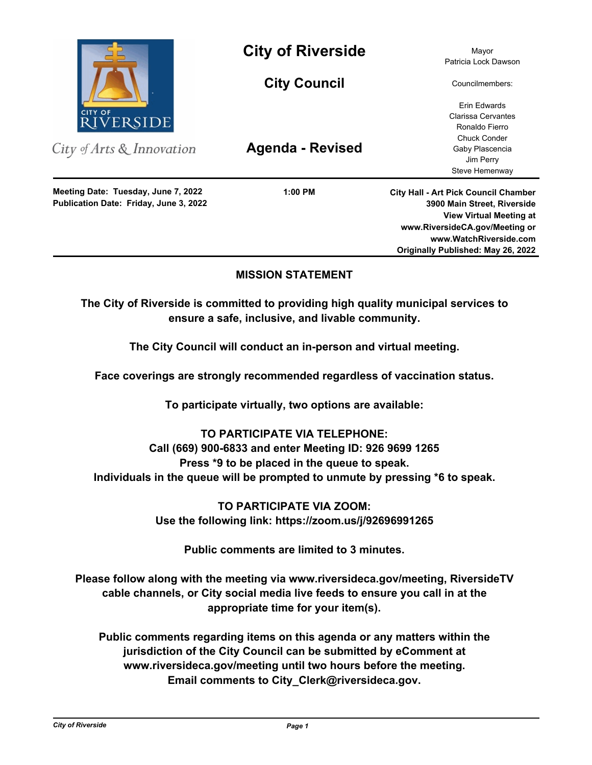

City of Arts & Innovation

**Publication Date: Friday, June 3, 2022 Meeting Date: Tuesday, June 7, 2022**

# **City of Riverside** Mayor

**City Council**

**Agenda - Revised**

**1:00 PM**

Patricia Lock Dawson

Councilmembers:

Erin Edwards Clarissa Cervantes Ronaldo Fierro Chuck Conder Gaby Plascencia Jim Perry Steve Hemenway

**City Hall - Art Pick Council Chamber 3900 Main Street, Riverside View Virtual Meeting at www.RiversideCA.gov/Meeting or www.WatchRiverside.com Originally Published: May 26, 2022**

## **MISSION STATEMENT**

**The City of Riverside is committed to providing high quality municipal services to ensure a safe, inclusive, and livable community.**

**The City Council will conduct an in-person and virtual meeting.** 

**Face coverings are strongly recommended regardless of vaccination status.** 

**To participate virtually, two options are available:** 

# **TO PARTICIPATE VIA TELEPHONE:**

**Call (669) 900-6833 and enter Meeting ID: 926 9699 1265 Press \*9 to be placed in the queue to speak. Individuals in the queue will be prompted to unmute by pressing \*6 to speak.**

> **TO PARTICIPATE VIA ZOOM: Use the following link: https://zoom.us/j/92696991265**

> > **Public comments are limited to 3 minutes.**

**Please follow along with the meeting via www.riversideca.gov/meeting, RiversideTV cable channels, or City social media live feeds to ensure you call in at the appropriate time for your item(s).** 

**Public comments regarding items on this agenda or any matters within the jurisdiction of the City Council can be submitted by eComment at www.riversideca.gov/meeting until two hours before the meeting. Email comments to City\_Clerk@riversideca.gov.**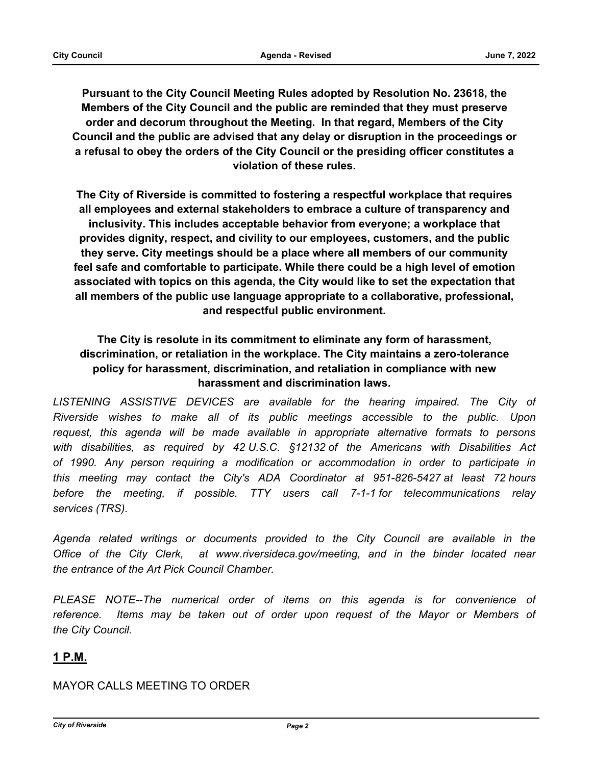**Pursuant to the City Council Meeting Rules adopted by Resolution No. 23618, the Members of the City Council and the public are reminded that they must preserve order and decorum throughout the Meeting. In that regard, Members of the City Council and the public are advised that any delay or disruption in the proceedings or a refusal to obey the orders of the City Council or the presiding officer constitutes a violation of these rules.**

**The City of Riverside is committed to fostering a respectful workplace that requires all employees and external stakeholders to embrace a culture of transparency and inclusivity. This includes acceptable behavior from everyone; a workplace that provides dignity, respect, and civility to our employees, customers, and the public they serve. City meetings should be a place where all members of our community feel safe and comfortable to participate. While there could be a high level of emotion associated with topics on this agenda, the City would like to set the expectation that all members of the public use language appropriate to a collaborative, professional, and respectful public environment.**

## **The City is resolute in its commitment to eliminate any form of harassment, discrimination, or retaliation in the workplace. The City maintains a zero-tolerance policy for harassment, discrimination, and retaliation in compliance with new harassment and discrimination laws.**

LISTENING ASSISTIVE DEVICES are available for the hearing impaired. The City of *Riverside wishes to make all of its public meetings accessible to the public. Upon request, this agenda will be made available in appropriate alternative formats to persons with disabilities, as required by 42 U.S.C. §12132 of the Americans with Disabilities Act of 1990. Any person requiring a modification or accommodation in order to participate in this meeting may contact the City's ADA Coordinator at 951-826-5427 at least 72 hours before the meeting, if possible. TTY users call 7-1-1 for telecommunications relay services (TRS).* 

*Agenda related writings or documents provided to the City Council are available in the Office of the City Clerk, at www.riversideca.gov/meeting, and in the binder located near the entrance of the Art Pick Council Chamber.* 

PLEASE NOTE--The numerical order of items on this agenda is for convenience of *reference. Items may be taken out of order upon request of the Mayor or Members of the City Council.*

## **1 P.M.**

### MAYOR CALLS MEETING TO ORDER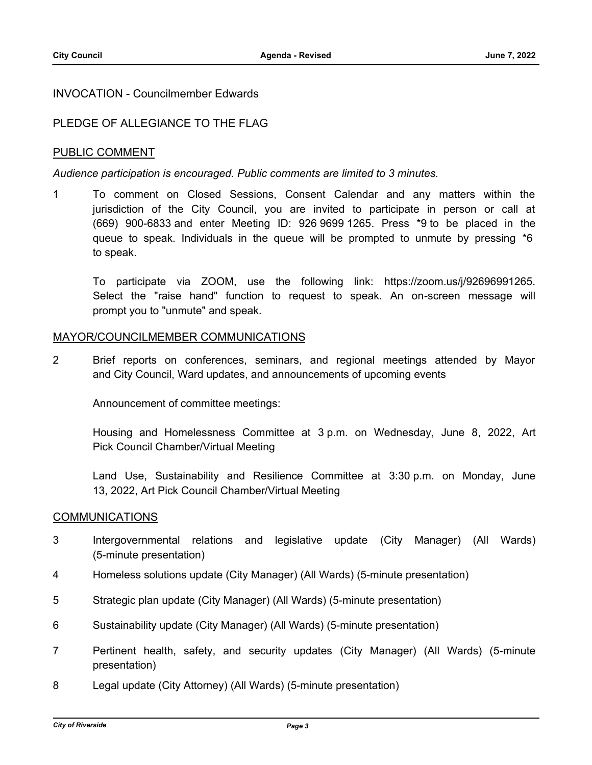#### INVOCATION - Councilmember Edwards

### PLEDGE OF ALLEGIANCE TO THE FLAG

#### PUBLIC COMMENT

#### *Audience participation is encouraged. Public comments are limited to 3 minutes.*

1 To comment on Closed Sessions, Consent Calendar and any matters within the jurisdiction of the City Council, you are invited to participate in person or call at (669) 900-6833 and enter Meeting ID: 926 9699 1265. Press \*9 to be placed in the queue to speak. Individuals in the queue will be prompted to unmute by pressing \*6 to speak.

To participate via ZOOM, use the following link: https://zoom.us/j/92696991265. Select the "raise hand" function to request to speak. An on-screen message will prompt you to "unmute" and speak.

#### MAYOR/COUNCILMEMBER COMMUNICATIONS

2 Brief reports on conferences, seminars, and regional meetings attended by Mayor and City Council, Ward updates, and announcements of upcoming events

Announcement of committee meetings:

Housing and Homelessness Committee at 3 p.m. on Wednesday, June 8, 2022, Art Pick Council Chamber/Virtual Meeting

Land Use, Sustainability and Resilience Committee at 3:30 p.m. on Monday, June 13, 2022, Art Pick Council Chamber/Virtual Meeting

#### COMMUNICATIONS

- 3 Intergovernmental relations and legislative update (City Manager) (All Wards) (5-minute presentation)
- 4 Homeless solutions update (City Manager) (All Wards) (5-minute presentation)
- 5 Strategic plan update (City Manager) (All Wards) (5-minute presentation)
- 6 Sustainability update (City Manager) (All Wards) (5-minute presentation)
- 7 Pertinent health, safety, and security updates (City Manager) (All Wards) (5-minute presentation)
- 8 Legal update (City Attorney) (All Wards) (5-minute presentation)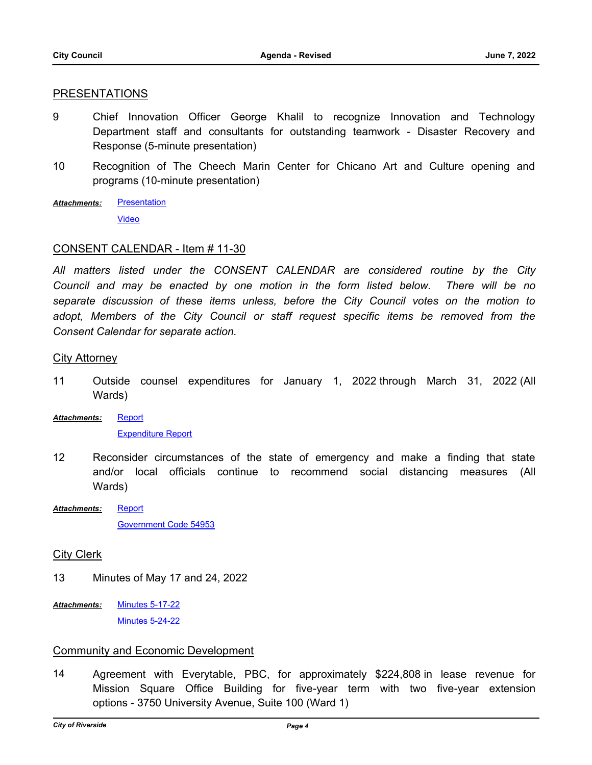#### PRESENTATIONS

- 9 Chief Innovation Officer George Khalil to recognize Innovation and Technology Department staff and consultants for outstanding teamwork - Disaster Recovery and Response (5-minute presentation)
- 10 Recognition of The Cheech Marin Center for Chicano Art and Culture opening and programs (10-minute presentation)
- **[Presentation](http://riversideca.legistar.com/gateway.aspx?M=F&ID=5317f901-2413-4e32-bcd3-fd5b697581c8.pdf)** *Attachments:*

[Video](https://riversideca.granicus.com/player/clip/5118)

#### CONSENT CALENDAR - Item # 11-30

*All matters listed under the CONSENT CALENDAR are considered routine by the City Council and may be enacted by one motion in the form listed below. There will be no separate discussion of these items unless, before the City Council votes on the motion to*  adopt, Members of the City Council or staff request specific items be removed from the *Consent Calendar for separate action.*

#### City Attorney

- 11 Outside counsel expenditures for January 1, 2022 through March 31, 2022 (All Wards)
- [Report](http://riversideca.legistar.com/gateway.aspx?M=F&ID=dbdcca67-5e4b-4c45-a5e3-e20459609273.docx) *Attachments:*

#### [Expenditure Report](http://riversideca.legistar.com/gateway.aspx?M=F&ID=90e3acd5-ba3f-4ed6-814e-082e159d44a7.pdf)

- 12 Reconsider circumstances of the state of emergency and make a finding that state and/or local officials continue to recommend social distancing measures (All Wards)
- **[Report](http://riversideca.legistar.com/gateway.aspx?M=F&ID=2b376bb0-1413-41d1-9bd7-9a4e8af57670.docx)** [Government Code 54953](http://riversideca.legistar.com/gateway.aspx?M=F&ID=f4eefc24-ec6f-4f18-b3e2-1a5ca90fc66f.pdf) *Attachments:*

#### City Clerk

- 13 Minutes of May 17 and 24, 2022
- [Minutes 5-17-22](http://riversideca.legistar.com/gateway.aspx?M=F&ID=68fc49cf-b385-46fa-b776-33b2bf05294b.pdf) [Minutes 5-24-22](http://riversideca.legistar.com/gateway.aspx?M=F&ID=e93f8be4-0f2d-49b7-b0b9-4cc1fd71a2eb.pdf) *Attachments:*

#### Community and Economic Development

14 Agreement with Everytable, PBC, for approximately \$224,808 in lease revenue for Mission Square Office Building for five-year term with two five-year extension options - 3750 University Avenue, Suite 100 (Ward 1)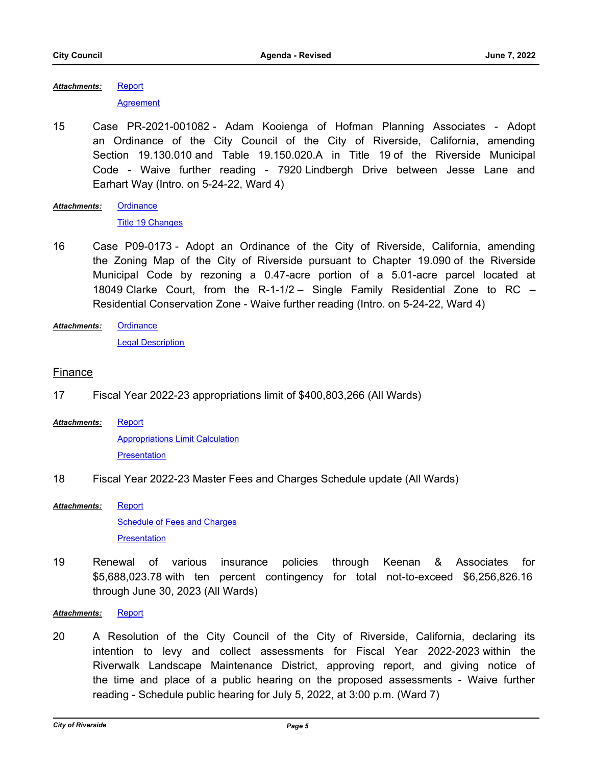[Report](http://riversideca.legistar.com/gateway.aspx?M=F&ID=7555eb06-9963-449b-887e-db753b5581f2.docx) *Attachments:*

**[Agreement](http://riversideca.legistar.com/gateway.aspx?M=F&ID=0e2e01f3-0bc0-48ed-aa9a-31a3187fb26b.pdf)** 

15 Case PR-2021-001082 - Adam Kooienga of Hofman Planning Associates - Adopt an Ordinance of the City Council of the City of Riverside, California, amending Section 19.130.010 and Table 19.150.020.A in Title 19 of the Riverside Municipal Code - Waive further reading - 7920 Lindbergh Drive between Jesse Lane and Earhart Way (Intro. on 5-24-22, Ward 4)

**[Ordinance](http://riversideca.legistar.com/gateway.aspx?M=F&ID=d7653a57-4cc6-43a6-897f-9f34ffb60258.docx)** [Title 19 Changes](http://riversideca.legistar.com/gateway.aspx?M=F&ID=937cdf5a-f744-4584-a132-4a10bca10610.pdf) *Attachments:*

- 16 Case P09-0173 Adopt an Ordinance of the City of Riverside, California, amending the Zoning Map of the City of Riverside pursuant to Chapter 19.090 of the Riverside Municipal Code by rezoning a 0.47-acre portion of a 5.01-acre parcel located at 18049 Clarke Court, from the R-1-1/2 – Single Family Residential Zone to RC – Residential Conservation Zone - Waive further reading (Intro. on 5-24-22, Ward 4)
- **[Ordinance](http://riversideca.legistar.com/gateway.aspx?M=F&ID=6ae9fd06-f7c2-48b7-a57e-8ed2c09c470e.doc)** [Legal Description](http://riversideca.legistar.com/gateway.aspx?M=F&ID=a98f8a6e-17ef-4829-ab62-8760c67b4db9.pdf) *Attachments:*

### Finance

- 17 Fiscal Year 2022-23 appropriations limit of \$400,803,266 (All Wards)
- **[Report](http://riversideca.legistar.com/gateway.aspx?M=F&ID=2d9f562b-e91b-42e2-843d-ffcf9dc2c09a.docx)** [Appropriations Limit Calculation](http://riversideca.legistar.com/gateway.aspx?M=F&ID=3aa53a7f-7528-40e7-a072-354abe190574.pdf) **[Presentation](http://riversideca.legistar.com/gateway.aspx?M=F&ID=b9da9394-6146-4080-87c3-bf4faca17dce.pdf)** *Attachments:*
- 18 Fiscal Year 2022-23 Master Fees and Charges Schedule update (All Wards)

**[Report](http://riversideca.legistar.com/gateway.aspx?M=F&ID=bea99589-665d-47c8-bc6d-f97b97e59b94.docx)** [Schedule of Fees and Charges](http://riversideca.legistar.com/gateway.aspx?M=F&ID=2ea12ad7-755d-422c-9ac8-8174b889041e.pdf) **[Presentation](http://riversideca.legistar.com/gateway.aspx?M=F&ID=58d392d4-14f5-4642-b753-6db356907da3.pdf)** *Attachments:*

19 Renewal of various insurance policies through Keenan & Associates for \$5,688,023.78 with ten percent contingency for total not-to-exceed \$6,256,826.16 through June 30, 2023 (All Wards)

*Attachments:* [Report](http://riversideca.legistar.com/gateway.aspx?M=F&ID=202330f6-40ba-421d-9075-a1a19512dafb.docx)

20 A Resolution of the City Council of the City of Riverside, California, declaring its intention to levy and collect assessments for Fiscal Year 2022-2023 within the Riverwalk Landscape Maintenance District, approving report, and giving notice of the time and place of a public hearing on the proposed assessments - Waive further reading - Schedule public hearing for July 5, 2022, at 3:00 p.m. (Ward 7)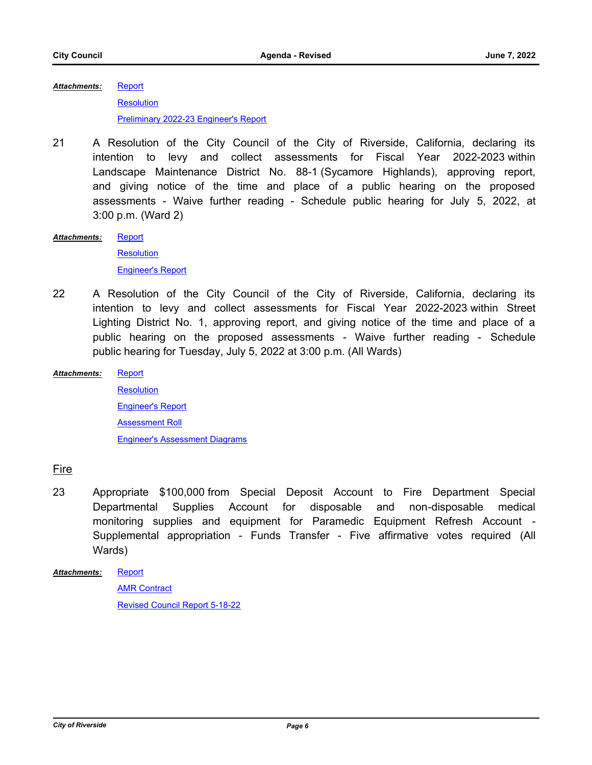**[Report](http://riversideca.legistar.com/gateway.aspx?M=F&ID=5ae179a8-d828-430d-8f77-9921ba0eb002.doc) [Resolution](http://riversideca.legistar.com/gateway.aspx?M=F&ID=99e75bf2-79f8-4161-8ea5-8c32ff6da568.docx)** [Preliminary 2022-23 Engineer's Report](http://riversideca.legistar.com/gateway.aspx?M=F&ID=5bfbdc3c-35c8-4a97-9658-8f6fc78f4e28.pdf) *Attachments:*

- 21 A Resolution of the City Council of the City of Riverside, California, declaring its intention to levy and collect assessments for Fiscal Year 2022-2023 within Landscape Maintenance District No. 88-1 (Sycamore Highlands), approving report, and giving notice of the time and place of a public hearing on the proposed assessments - Waive further reading - Schedule public hearing for July 5, 2022, at 3:00 p.m. (Ward 2)
- [Report](http://riversideca.legistar.com/gateway.aspx?M=F&ID=0baa469f-1e4b-4156-8578-335f8e1603fc.doc) **[Resolution](http://riversideca.legistar.com/gateway.aspx?M=F&ID=1fd3f324-7e6c-40d0-94cc-6605db0b9a09.doc)** [Engineer's Report](http://riversideca.legistar.com/gateway.aspx?M=F&ID=8a7d38c9-641b-4ca1-a505-0248ca1ee40f.pdf) *Attachments:*
- 22 A Resolution of the City Council of the City of Riverside, California, declaring its intention to levy and collect assessments for Fiscal Year 2022-2023 within Street Lighting District No. 1, approving report, and giving notice of the time and place of a public hearing on the proposed assessments - Waive further reading - Schedule public hearing for Tuesday, July 5, 2022 at 3:00 p.m. (All Wards)
- **[Report](http://riversideca.legistar.com/gateway.aspx?M=F&ID=4c4de9ec-d2eb-4f9d-a6c6-a69e61cf6840.doc) [Resolution](http://riversideca.legistar.com/gateway.aspx?M=F&ID=a9d0151c-48ef-4242-85cd-da4b26cc6d16.docx)** [Engineer's Report](http://riversideca.legistar.com/gateway.aspx?M=F&ID=c0aaeb97-bd1b-46f8-ab5f-e5b64a7c8e94.pdf) **[Assessment Roll](http://riversideca.legistar.com/gateway.aspx?M=F&ID=0f609f9e-cb66-432c-a7e1-d78ab8f4ee2b.pdf)** [Engineer's Assessment Diagrams](http://riversideca.legistar.com/gateway.aspx?M=F&ID=81f7b7c3-800b-4935-aefd-5dd64a017d5f.pdf) *Attachments:*

### Fire

23 Appropriate \$100,000 from Special Deposit Account to Fire Department Special Departmental Supplies Account for disposable and non-disposable medical monitoring supplies and equipment for Paramedic Equipment Refresh Account - Supplemental appropriation - Funds Transfer - Five affirmative votes required (All Wards)

[Report](http://riversideca.legistar.com/gateway.aspx?M=F&ID=1ca88fb8-14c3-439f-b75c-15b560afb249.docx) *Attachments:*

**AMR** Contract [Revised Council Report 5-18-22](http://riversideca.legistar.com/gateway.aspx?M=F&ID=3ab63e4c-dc90-4789-9f84-a4c201d39574.docx)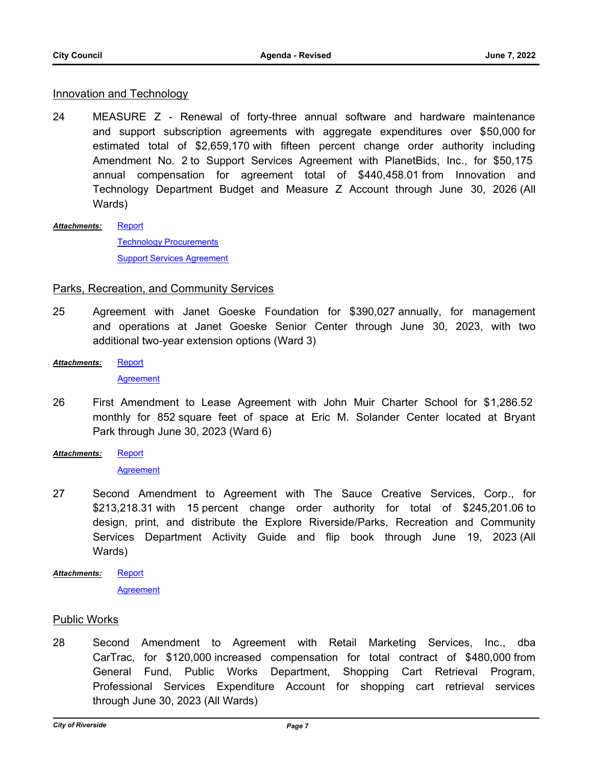#### **Innovation and Technology**

24 MEASURE Z - Renewal of forty-three annual software and hardware maintenance and support subscription agreements with aggregate expenditures over \$50,000 for estimated total of \$2,659,170 with fifteen percent change order authority including Amendment No. 2 to Support Services Agreement with PlanetBids, Inc., for \$50,175 annual compensation for agreement total of \$440,458.01 from Innovation and Technology Department Budget and Measure Z Account through June 30, 2026 (All Wards)

[Report](http://riversideca.legistar.com/gateway.aspx?M=F&ID=f6cf5652-19be-4d80-86cc-fdd3ccc213f8.docx) *Attachments:*

> [Technology Procurements](http://riversideca.legistar.com/gateway.aspx?M=F&ID=7252c5dd-ceae-4cba-958c-364aca4fd490.docx) [Support Services Agreement](http://riversideca.legistar.com/gateway.aspx?M=F&ID=0c5ff222-9abc-4a2d-acb1-342e2dbafc50.pdf)

#### Parks, Recreation, and Community Services

- 25 Agreement with Janet Goeske Foundation for \$390,027 annually, for management and operations at Janet Goeske Senior Center through June 30, 2023, with two additional two-year extension options (Ward 3)
- **[Report](http://riversideca.legistar.com/gateway.aspx?M=F&ID=a95b97f2-7be0-49ef-93e6-9ed88b675fc4.docx)** *Attachments:*

**[Agreement](http://riversideca.legistar.com/gateway.aspx?M=F&ID=6641424d-5d18-4edb-9ccf-e257e6d6d795.pdf)** 

- 26 First Amendment to Lease Agreement with John Muir Charter School for \$1,286.52 monthly for 852 square feet of space at Eric M. Solander Center located at Bryant Park through June 30, 2023 (Ward 6)
- [Report](http://riversideca.legistar.com/gateway.aspx?M=F&ID=758bf34b-8d8c-41d9-a316-f2f783f3bc0a.docx) *Attachments:*

[Agreement](http://riversideca.legistar.com/gateway.aspx?M=F&ID=1ce7eef0-66e8-4fe3-825a-4f7d85f9ace7.pdf)

- 27 Second Amendment to Agreement with The Sauce Creative Services, Corp., for \$213,218.31 with 15 percent change order authority for total of \$245,201.06 to design, print, and distribute the Explore Riverside/Parks, Recreation and Community Services Department Activity Guide and flip book through June 19, 2023 (All Wards)
- **[Report](http://riversideca.legistar.com/gateway.aspx?M=F&ID=9db6a6dc-9f03-4f4b-a85f-6ee46dee13f6.docx) [Agreement](http://riversideca.legistar.com/gateway.aspx?M=F&ID=67ac4933-ebf6-43f5-b68a-249a54661f0a.pdf)** *Attachments:*

### Public Works

28 Second Amendment to Agreement with Retail Marketing Services, Inc., dba CarTrac, for \$120,000 increased compensation for total contract of \$480,000 from General Fund, Public Works Department, Shopping Cart Retrieval Program, Professional Services Expenditure Account for shopping cart retrieval services through June 30, 2023 (All Wards)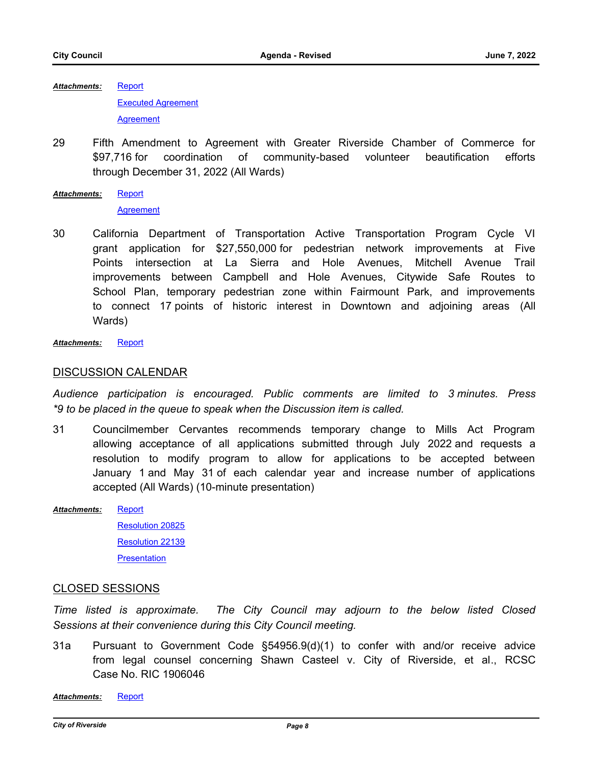[Report](http://riversideca.legistar.com/gateway.aspx?M=F&ID=8324e14d-721c-4535-8d34-9de243378da3.docx) [Executed Agreement](http://riversideca.legistar.com/gateway.aspx?M=F&ID=cd7ec52a-a8b3-44ce-9c5e-35f96fcad2a6.pdf) **[Agreement](http://riversideca.legistar.com/gateway.aspx?M=F&ID=f94f03ee-76b6-4d5a-899b-5fdf747aa4de.pdf)** *Attachments:*

29 Fifth Amendment to Agreement with Greater Riverside Chamber of Commerce for \$97,716 for coordination of community-based volunteer beautification efforts through December 31, 2022 (All Wards)

```
Report
Attachments:
```
**[Agreement](http://riversideca.legistar.com/gateway.aspx?M=F&ID=9c6966f7-fb56-4d3e-bdc9-5a60dc437a71.pdf)** 

30 California Department of Transportation Active Transportation Program Cycle VI grant application for \$27,550,000 for pedestrian network improvements at Five Points intersection at La Sierra and Hole Avenues, Mitchell Avenue Trail improvements between Campbell and Hole Avenues, Citywide Safe Routes to School Plan, temporary pedestrian zone within Fairmount Park, and improvements to connect 17 points of historic interest in Downtown and adjoining areas (All Wards)

*Attachments:* [Report](http://riversideca.legistar.com/gateway.aspx?M=F&ID=b31b3723-30d1-412c-b78b-2d0ac1829e38.docx)

#### DISCUSSION CALENDAR

*Audience participation is encouraged. Public comments are limited to 3 minutes. Press \*9 to be placed in the queue to speak when the Discussion item is called.*

- 31 Councilmember Cervantes recommends temporary change to Mills Act Program allowing acceptance of all applications submitted through July 2022 and requests a resolution to modify program to allow for applications to be accepted between January 1 and May 31 of each calendar year and increase number of applications accepted (All Wards) (10-minute presentation)
- **[Report](http://riversideca.legistar.com/gateway.aspx?M=F&ID=a0a5e6a8-50d2-425a-83b6-2008472a4173.pdf)** [Resolution 20825](http://riversideca.legistar.com/gateway.aspx?M=F&ID=2721274e-cbaf-4adc-9080-0aa1068d8de6.pdf) [Resolution 22139](http://riversideca.legistar.com/gateway.aspx?M=F&ID=dd845758-0ae9-4a1f-aaae-448d6ed2c8d0.pdf) **[Presentation](http://riversideca.legistar.com/gateway.aspx?M=F&ID=51bd5e31-7a52-4ca4-9a59-eacb87a56135.pdf)** *Attachments:*

### CLOSED SESSIONS

*Time listed is approximate. The City Council may adjourn to the below listed Closed Sessions at their convenience during this City Council meeting.*

31a Pursuant to Government Code §54956.9(d)(1) to confer with and/or receive advice from legal counsel concerning Shawn Casteel v. City of Riverside, et al., RCSC Case No. RIC 1906046

*Attachments:* [Report](http://riversideca.legistar.com/gateway.aspx?M=F&ID=3f091ffa-6df0-4800-8758-8d5c5dbbad1e.pdf)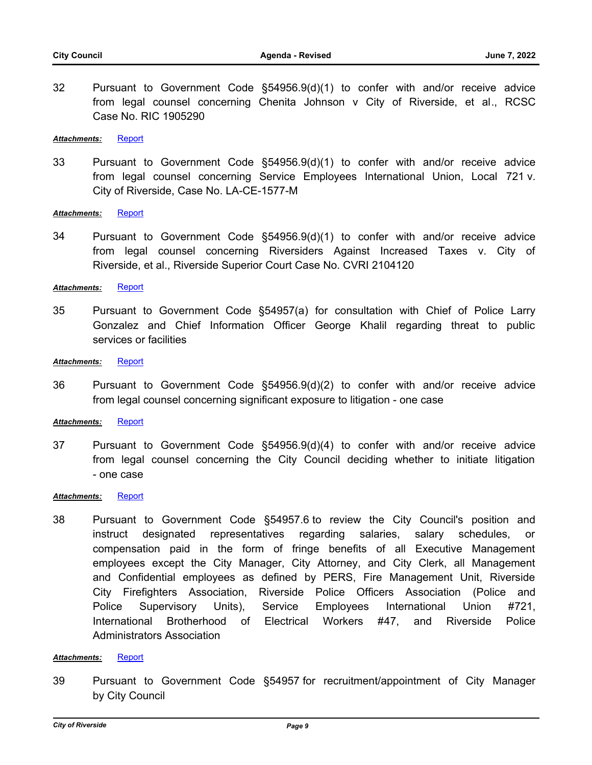32 Pursuant to Government Code §54956.9(d)(1) to confer with and/or receive advice from legal counsel concerning Chenita Johnson v City of Riverside, et al., RCSC Case No. RIC 1905290

#### *Attachments:* [Report](http://riversideca.legistar.com/gateway.aspx?M=F&ID=9c68e218-4493-4a12-a012-17e2ef7ed2bd.doc)

33 Pursuant to Government Code §54956.9(d)(1) to confer with and/or receive advice from legal counsel concerning Service Employees International Union, Local 721 v. City of Riverside, Case No. LA-CE-1577-M

#### Attachments: [Report](http://riversideca.legistar.com/gateway.aspx?M=F&ID=f7f1fad3-ad1f-4e3a-bd3d-7c5c1bd0f1af.doc)

34 Pursuant to Government Code §54956.9(d)(1) to confer with and/or receive advice from legal counsel concerning Riversiders Against Increased Taxes v. City of Riverside, et al., Riverside Superior Court Case No. CVRI 2104120

#### Attachments: [Report](http://riversideca.legistar.com/gateway.aspx?M=F&ID=aa8b6b07-acbc-4ef4-8b28-8f99ba147fff.doc)

35 Pursuant to Government Code §54957(a) for consultation with Chief of Police Larry Gonzalez and Chief Information Officer George Khalil regarding threat to public services or facilities

#### *Attachments:* [Report](http://riversideca.legistar.com/gateway.aspx?M=F&ID=13c65a64-02cf-459f-aeca-92d0b935b116.doc)

36 Pursuant to Government Code §54956.9(d)(2) to confer with and/or receive advice from legal counsel concerning significant exposure to litigation - one case

#### *Attachments:* [Report](http://riversideca.legistar.com/gateway.aspx?M=F&ID=37e78d41-4a4b-4ea8-ab96-d32dbe17447b.doc)

37 Pursuant to Government Code §54956.9(d)(4) to confer with and/or receive advice from legal counsel concerning the City Council deciding whether to initiate litigation - one case

#### *Attachments:* [Report](http://riversideca.legistar.com/gateway.aspx?M=F&ID=bec3a0a8-0bd5-4bd0-bd4c-f691d7957d79.doc)

38 Pursuant to Government Code §54957.6 to review the City Council's position and instruct designated representatives regarding salaries, salary schedules, or compensation paid in the form of fringe benefits of all Executive Management employees except the City Manager, City Attorney, and City Clerk, all Management and Confidential employees as defined by PERS, Fire Management Unit, Riverside City Firefighters Association, Riverside Police Officers Association (Police and Police Supervisory Units), Service Employees International Union #721, International Brotherhood of Electrical Workers #47, and Riverside Police Administrators Association

#### *Attachments:* [Report](http://riversideca.legistar.com/gateway.aspx?M=F&ID=7780487e-85d5-4cf0-b683-9606f39fe735.doc)

39 Pursuant to Government Code §54957 for recruitment/appointment of City Manager by City Council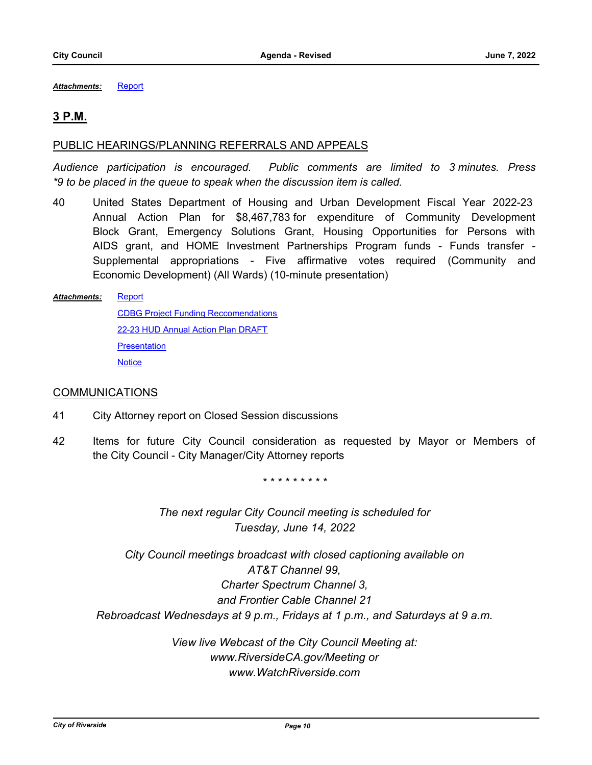*Attachments:* [Report](http://riversideca.legistar.com/gateway.aspx?M=F&ID=7d523b07-7b12-4412-b931-4246949c18f1.pdf)

### **3 P.M.**

#### PUBLIC HEARINGS/PLANNING REFERRALS AND APPEALS

*Audience participation is encouraged. Public comments are limited to 3 minutes. Press \*9 to be placed in the queue to speak when the discussion item is called.*

40 United States Department of Housing and Urban Development Fiscal Year 2022-23 Annual Action Plan for \$8,467,783 for expenditure of Community Development Block Grant, Emergency Solutions Grant, Housing Opportunities for Persons with AIDS grant, and HOME Investment Partnerships Program funds - Funds transfer - Supplemental appropriations - Five affirmative votes required (Community and Economic Development) (All Wards) (10-minute presentation)

#### **[Report](http://riversideca.legistar.com/gateway.aspx?M=F&ID=5b10a331-4679-4f2e-b56b-fe9b77e71a86.docx)** *Attachments:*

[CDBG Project Funding Reccomendations](http://riversideca.legistar.com/gateway.aspx?M=F&ID=0e8bf177-a7a3-42bc-9056-c988b1b05a65.xlsx) [22-23 HUD Annual Action Plan DRAFT](http://riversideca.legistar.com/gateway.aspx?M=F&ID=2ea33c96-654f-464f-9260-1fab39b1423c.pdf) **[Presentation](http://riversideca.legistar.com/gateway.aspx?M=F&ID=c82691f9-eed3-4789-bfa3-0438ac5d82c5.pdf) [Notice](http://riversideca.legistar.com/gateway.aspx?M=F&ID=57de2f5b-d27e-4869-af1e-af60843d4cb5.pdf)** 

#### **COMMUNICATIONS**

- 41 City Attorney report on Closed Session discussions
- 42 Items for future City Council consideration as requested by Mayor or Members of the City Council - City Manager/City Attorney reports

*\* \* \* \* \* \* \* \* \**

*The next regular City Council meeting is scheduled for Tuesday, June 14, 2022*

*City Council meetings broadcast with closed captioning available on AT&T Channel 99, Charter Spectrum Channel 3, and Frontier Cable Channel 21 Rebroadcast Wednesdays at 9 p.m., Fridays at 1 p.m., and Saturdays at 9 a.m.*

> *View live Webcast of the City Council Meeting at: www.RiversideCA.gov/Meeting or www.WatchRiverside.com*